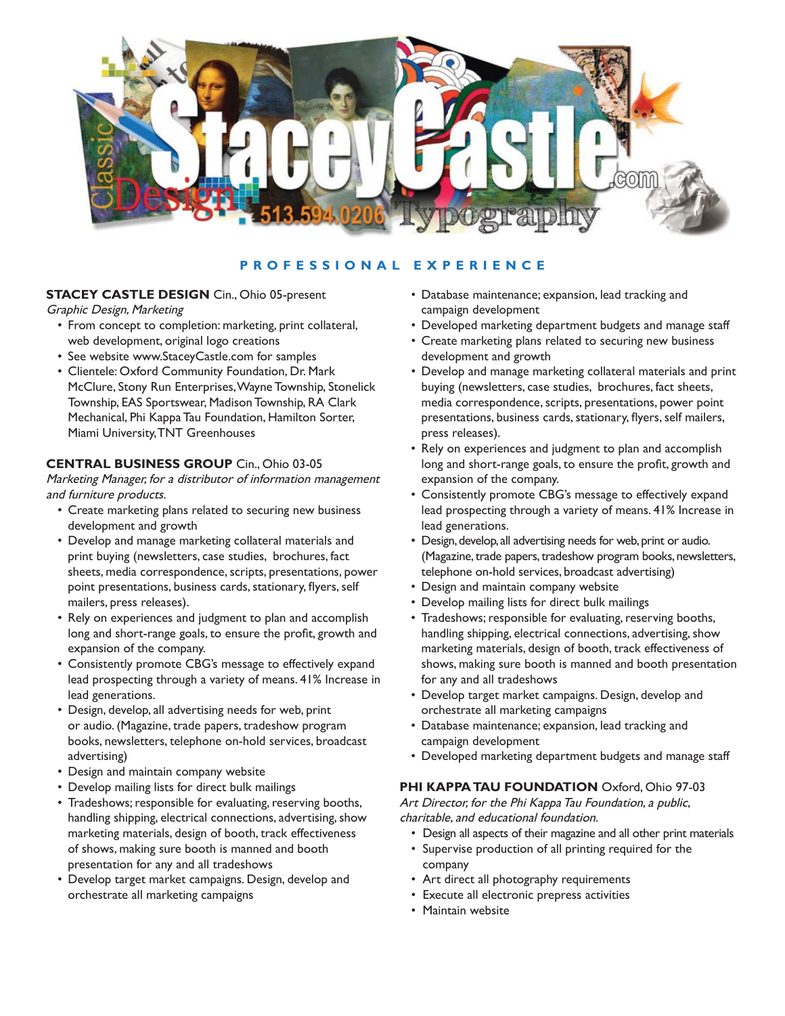

# **PROFESSIONAL EXPERIENCE**

### **STACEY CASTLE DESIGN** Cin., Ohio 05-present

Graphic Design, Marketing

- From concept to completion: marketing, print collateral, web development, original logo creations
- See website www.StaceyCastle.com for samples
- Clientele: Oxford Community Foundation, Dr. Mark McClure, Stony Run Enterprises, Wayne Township, Stonelick Township, EAS Sportswear, Madison Township, RA Clark Mechanical, Phi Kappa Tau Foundation, Hamilton Sorter, Miami University, TNT Greenhouses

### **CENTRAL BUSINESS GROUP** Cin., Ohio 03-05

Marketing Manager, for a distributor of information management and furniture products.

- Create marketing plans related to securing new business development and growth
- Develop and manage marketing collateral materials and print buying (newsletters, case studies, brochures, fact sheets, media correspondence, scripts, presentations, power point presentations, business cards, stationary, flyers, self mailers, press releases).
- Rely on experiences and judgment to plan and accomplish long and short-range goals, to ensure the profit, growth and expansion of the company.
- Consistently promote CBG's message to effectively expand lead prospecting through a variety of means. 41% Increase in lead generations.
- Design, develop, all advertising needs for web, print or audio. (Magazine, trade papers, tradeshow program books, newsletters, telephone on-hold services, broadcast advertising)
- Design and maintain company website
- Develop mailing lists for direct bulk mailings
- Tradeshows; responsible for evaluating, reserving booths, handling shipping, electrical connections, advertising, show marketing materials, design of booth, track effectiveness of shows, making sure booth is manned and booth presentation for any and all tradeshows
- Develop target market campaigns. Design, develop and orchestrate all marketing campaigns
- Database maintenance; expansion, lead tracking and campaign development
- Developed marketing department budgets and manage staff
- Create marketing plans related to securing new business development and growth
- Develop and manage marketing collateral materials and print buying (newsletters, case studies, brochures, fact sheets, media correspondence, scripts, presentations, power point presentations, business cards, stationary, flyers, self mailers, press releases).
- Rely on experiences and judgment to plan and accomplish long and short-range goals, to ensure the profit, growth and expansion of the company.
- Consistently promote CBG's message to effectively expand lead prospecting through a variety of means. 41% Increase in lead generations.
- Design, develop, all advertising needs for web, print or audio. (Magazine, trade papers, tradeshow program books, newsletters, telephone on-hold services, broadcast advertising)
- Design and maintain company website
- Develop mailing lists for direct bulk mailings
- Tradeshows; responsible for evaluating, reserving booths, handling shipping, electrical connections, advertising, show marketing materials, design of booth, track effectiveness of shows, making sure booth is manned and booth presentation for any and all tradeshows
- Develop target market campaigns. Design, develop and orchestrate all marketing campaigns
- Database maintenance; expansion, lead tracking and campaign development
- Developed marketing department budgets and manage staff

### **PHI KAPPA TAU FOUNDATION** Oxford, Ohio 97-03

Art Director, for the Phi Kappa Tau Foundation, a public, charitable, and educational foundation.

- Design all aspects of their magazine and all other print materials
- Supervise production of all printing required for the company
- Art direct all photography requirements
- Execute all electronic prepress activities
- Maintain website